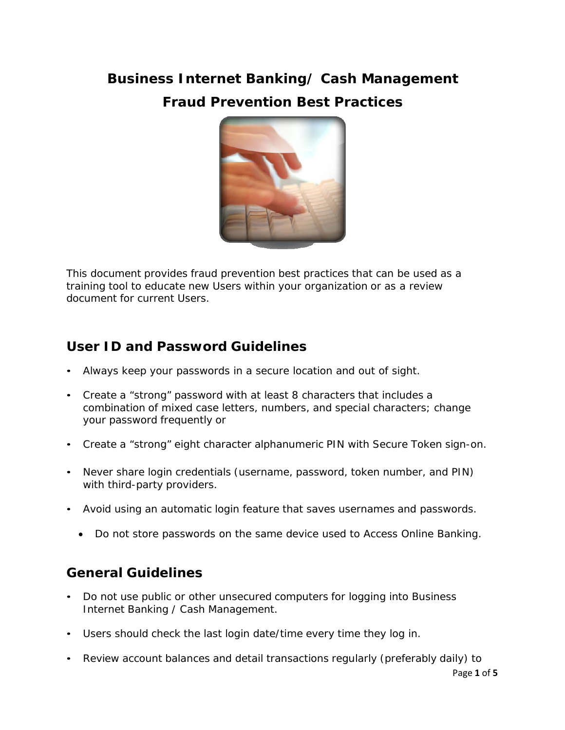# **Business Internet Banking/ Cash Management Fraud Prevention Best Practices**



This document provides fraud prevention best practices that can be used as a training tool to educate new Users within your organization or as a review document for current Users.

## **User ID and Password Guidelines**

- Always keep your passwords in a secure location and out of sight.
- Create a "strong" password with at least 8 characters that includes a combination of mixed case letters, numbers, and special characters; change your password frequently or
- Create a "strong" eight character alphanumeric PIN with Secure Token sign-on.
- Never share login credentials (username, password, token number, and PIN) with third-party providers.
- Avoid using an automatic login feature that saves usernames and passwords.
	- Do not store passwords on the same device used to Access Online Banking.

## **General Guidelines**

- Do not use public or other unsecured computers for logging into Business Internet Banking / Cash Management.
- Users should check the last login date/time every time they log in.
- Review account balances and detail transactions regularly (preferably daily) to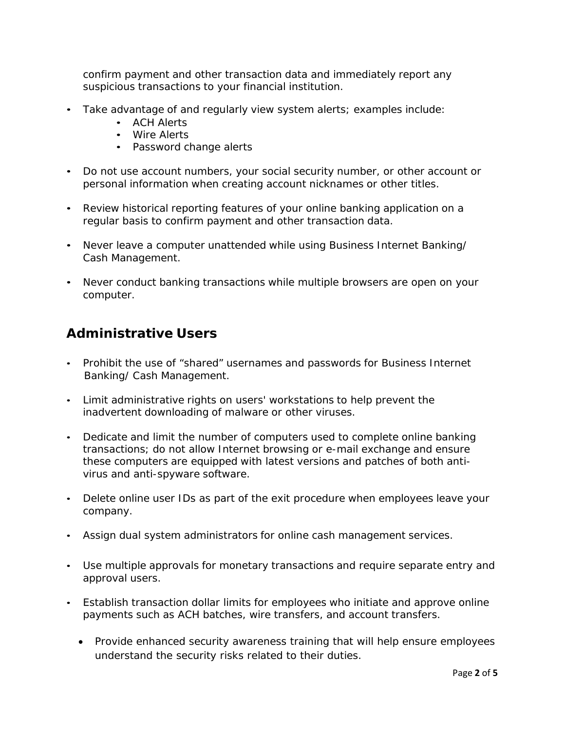confirm payment and other transaction data and immediately report any suspicious transactions to your financial institution.

- Take advantage of and regularly view system alerts; examples include:
	- ACH Alerts
	- Wire Alerts
	- Password change alerts
- Do not use account numbers, your social security number, or other account or personal information when creating account nicknames or other titles.
- Review historical reporting features of your online banking application on a regular basis to confirm payment and other transaction data.
- Never leave a computer unattended while using Business Internet Banking/ Cash Management.
- Never conduct banking transactions while multiple browsers are open on your computer.

### **Administrative Users**

- Prohibit the use of "shared" usernames and passwords for Business Internet Banking/ Cash Management.
- Limit administrative rights on users' workstations to help prevent the inadvertent downloading of malware or other viruses.
- Dedicate and limit the number of computers used to complete online banking transactions; do not allow Internet browsing or e-mail exchange and ensure these computers are equipped with latest versions and patches of both antivirus and anti-spyware software.
- Delete online user IDs as part of the exit procedure when employees leave your company.
- Assign dual system administrators for online cash management services.
- Use multiple approvals for monetary transactions and require separate entry and approval users.
- Establish transaction dollar limits for employees who initiate and approve online payments such as ACH batches, wire transfers, and account transfers.
	- Provide enhanced security awareness training that will help ensure employees understand the security risks related to their duties.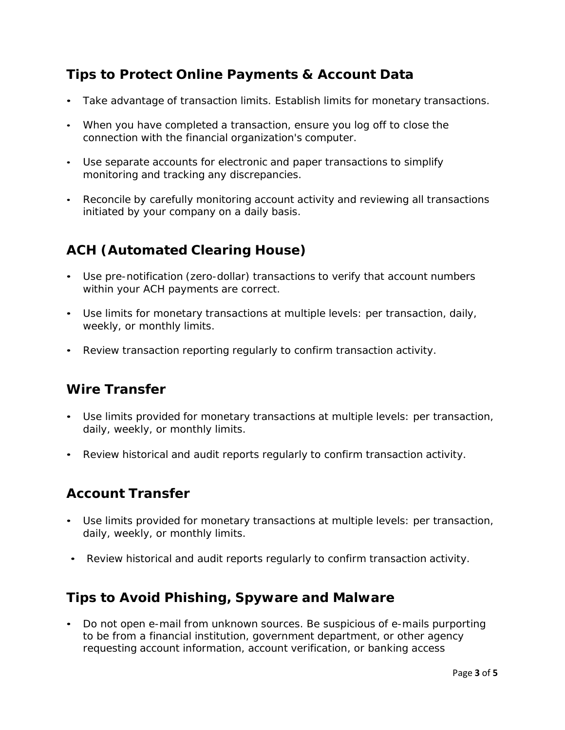### **Tips to Protect Online Payments & Account Data**

- Take advantage of transaction limits. Establish limits for monetary transactions.
- When you have completed a transaction, ensure you log off to close the connection with the financial organization's computer.
- Use separate accounts for electronic and paper transactions to simplify monitoring and tracking any discrepancies.
- Reconcile by carefully monitoring account activity and reviewing all transactions initiated by your company on a daily basis.

## **ACH (Automated Clearing House)**

- Use pre-notification (zero-dollar) transactions to verify that account numbers within your ACH payments are correct.
- Use limits for monetary transactions at multiple levels: per transaction, daily, weekly, or monthly limits.
- Review transaction reporting regularly to confirm transaction activity.

## **Wire Transfer**

- Use limits provided for monetary transactions at multiple levels: per transaction, daily, weekly, or monthly limits.
- Review historical and audit reports regularly to confirm transaction activity.

#### **Account Transfer**

- Use limits provided for monetary transactions at multiple levels: per transaction, daily, weekly, or monthly limits.
- Review historical and audit reports regularly to confirm transaction activity.

#### **Tips to Avoid Phishing, Spyware and Malware**

• Do not open e-mail from unknown sources. Be suspicious of e-mails purporting to be from a financial institution, government department, or other agency requesting account information, account verification, or banking access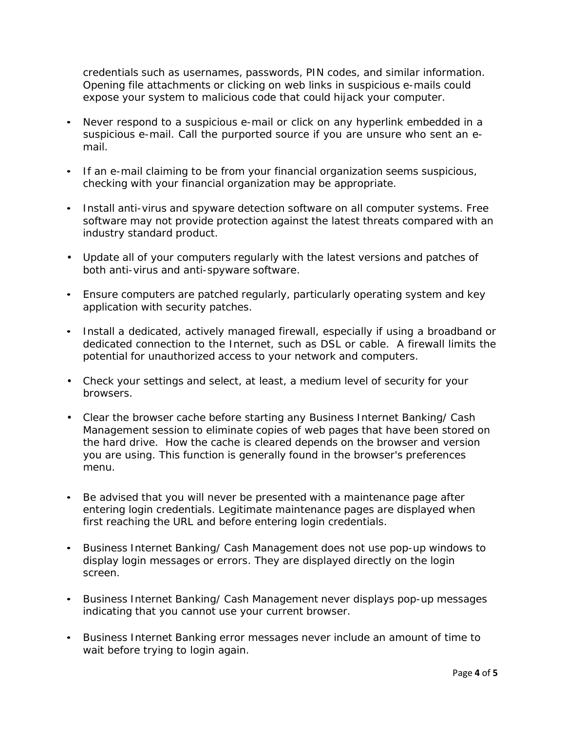credentials such as usernames, passwords, PIN codes, and similar information. Opening file attachments or clicking on web links in suspicious e-mails could expose your system to malicious code that could hijack your computer.

- Never respond to a suspicious e-mail or click on any hyperlink embedded in a suspicious e-mail. Call the purported source if you are unsure who sent an email.
- If an e-mail claiming to be from your financial organization seems suspicious, checking with your financial organization may be appropriate.
- Install anti-virus and spyware detection software on all computer systems. Free software may not provide protection against the latest threats compared with an industry standard product.
- Update all of your computers regularly with the latest versions and patches of both anti-virus and anti-spyware software.
- Ensure computers are patched regularly, particularly operating system and key application with security patches.
- Install a dedicated, actively managed firewall, especially if using a broadband or dedicated connection to the Internet, such as DSL or cable. A firewall limits the potential for unauthorized access to your network and computers.
- Check your settings and select, at least, a medium level of security for your browsers.
- Clear the browser cache before starting any Business Internet Banking/ Cash Management session to eliminate copies of web pages that have been stored on the hard drive. How the cache is cleared depends on the browser and version you are using. This function is generally found in the browser's preferences menu.
- Be advised that you will never be presented with a maintenance page after entering login credentials. Legitimate maintenance pages are displayed when first reaching the URL and before entering login credentials.
- Business Internet Banking/ Cash Management does not use pop-up windows to display login messages or errors. They are displayed directly on the login screen.
- Business Internet Banking/ Cash Management never displays pop-up messages indicating that you cannot use your current browser.
- Business Internet Banking error messages never include an amount of time to wait before trying to login again.